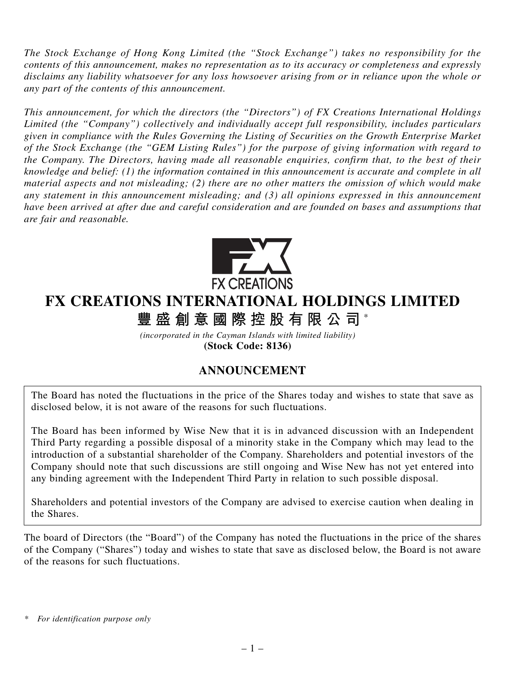*The Stock Exchange of Hong Kong Limited (the "Stock Exchange") takes no responsibility for the contents of this announcement, makes no representation as to its accuracy or completeness and expressly disclaims any liability whatsoever for any loss howsoever arising from or in reliance upon the whole or any part of the contents of this announcement.*

*This announcement, for which the directors (the "Directors") of FX Creations International Holdings Limited (the "Company") collectively and individually accept full responsibility, includes particulars given in compliance with the Rules Governing the Listing of Securities on the Growth Enterprise Market of the Stock Exchange (the "GEM Listing Rules") for the purpose of giving information with regard to the Company. The Directors, having made all reasonable enquiries, confirm that, to the best of their knowledge and belief: (1) the information contained in this announcement is accurate and complete in all material aspects and not misleading; (2) there are no other matters the omission of which would make any statement in this announcement misleading; and (3) all opinions expressed in this announcement have been arrived at after due and careful consideration and are founded on bases and assumptions that are fair and reasonable.*



## **FX CREATIONS INTERNATIONAL HOLDINGS LIMITED 豐盛創意國際控股有限公司** \*

*(incorporated in the Cayman Islands with limited liability)* **(Stock Code: 8136)**

## **ANNOUNCEMENT**

The Board has noted the fluctuations in the price of the Shares today and wishes to state that save as disclosed below, it is not aware of the reasons for such fluctuations.

The Board has been informed by Wise New that it is in advanced discussion with an Independent Third Party regarding a possible disposal of a minority stake in the Company which may lead to the introduction of a substantial shareholder of the Company. Shareholders and potential investors of the Company should note that such discussions are still ongoing and Wise New has not yet entered into any binding agreement with the Independent Third Party in relation to such possible disposal.

Shareholders and potential investors of the Company are advised to exercise caution when dealing in the Shares.

The board of Directors (the "Board") of the Company has noted the fluctuations in the price of the shares of the Company ("Shares") today and wishes to state that save as disclosed below, the Board is not aware of the reasons for such fluctuations.

*<sup>\*</sup> For identification purpose only*